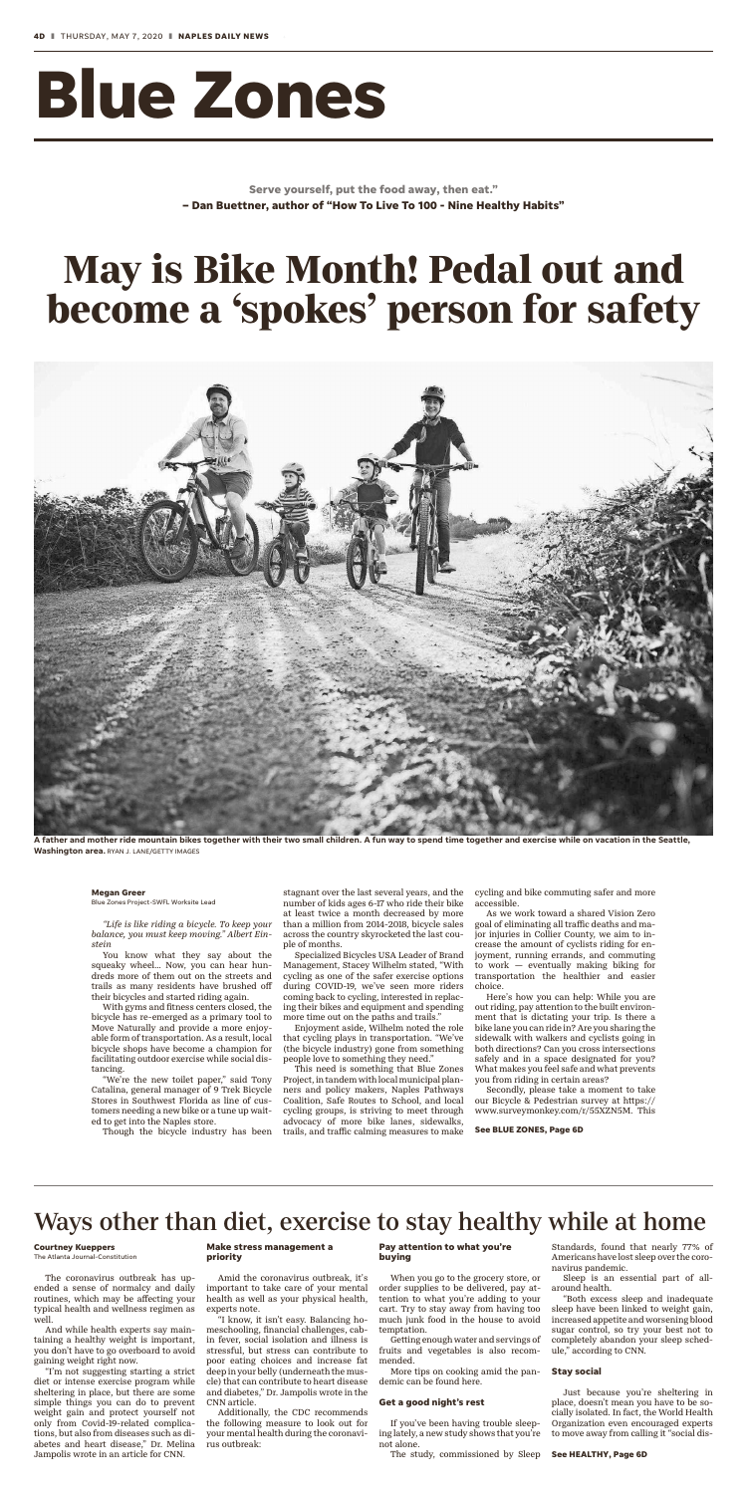# **Blue Zones**

**Serve yourself, put the food away, then eat." – Dan Buettner, author of "How To Live To 100 - Nine Healthy Habits"**

*"Life is like riding a bicycle. To keep your balance, you must keep moving." Albert Einstein*

You know what they say about the squeaky wheel… Now, you can hear hundreds more of them out on the streets and trails as many residents have brushed off their bicycles and started riding again.

With gyms and fitness centers closed, the bicycle has re-emerged as a primary tool to Move Naturally and provide a more enjoyable form of transportation. As a result, local bicycle shops have become a champion for facilitating outdoor exercise while social distancing.

"We're the new toilet paper," said Tony Catalina, general manager of 9 Trek Bicycle Stores in Southwest Florida as line of customers needing a new bike or a tune up waited to get into the Naples store.

Though the bicycle industry has been

stagnant over the last several years, and the number of kids ages 6-17 who ride their bike at least twice a month decreased by more than a million from 2014-2018, bicycle sales across the country skyrocketed the last couple of months.

Specialized Bicycles USA Leader of Brand Management, Stacey Wilhelm stated, "With cycling as one of the safer exercise options during COVID-19, we've seen more riders coming back to cycling, interested in replacing their bikes and equipment and spending more time out on the paths and trails."

Enjoyment aside, Wilhelm noted the role that cycling plays in transportation. "We've (the bicycle industry) gone from something people love to something they need."

This need is something that Blue Zones Project, in tandem with local municipal planners and policy makers, Naples Pathways Coalition, Safe Routes to School, and local cycling groups, is striving to meet through advocacy of more bike lanes, sidewalks, trails, and traffic calming measures to make

cycling and bike commuting safer and more accessible.

As we work toward a shared Vision Zero goal of eliminating all traffic deaths and major injuries in Collier County, we aim to increase the amount of cyclists riding for enjoyment, running errands, and commuting to work — eventually making biking for transportation the healthier and easier choice.

Here's how you can help: While you are out riding, pay attention to the built environment that is dictating your trip. Is there a bike lane you can ride in? Are you sharing the sidewalk with walkers and cyclists going in both directions? Can you cross intersections safely and in a space designated for you? What makes you feel safe and what prevents you from riding in certain areas?

Secondly, please take a moment to take our Bicycle & Pedestrian survey at https:// www.surveymonkey.com/r/55XZN5M. This

## **May is Bike Month! Pedal out and become a 'spokes' person for safety**



**A father and mother ride mountain bikes together with their two small children. A fun way to spend time together and exercise while on vacation in the Seattle,**

**See BLUE ZONES, Page 6D**

#### **Megan Greer**

Blue Zones Project-SWFL Worksite Lead

The coronavirus outbreak has upended a sense of normalcy and daily routines, which may be affecting your typical health and wellness regimen as well.

And while health experts say maintaining a healthy weight is important, you don't have to go overboard to avoid gaining weight right now.

"I'm not suggesting starting a strict diet or intense exercise program while sheltering in place, but there are some simple things you can do to prevent weight gain and protect yourself not only from Covid-19-related complications, but also from diseases such as diabetes and heart disease," Dr. Melina Jampolis wrote in an article for CNN.

#### **Make stress management a priority**

Amid the coronavirus outbreak, it's important to take care of your mental health as well as your physical health, experts note.

"I know, it isn't easy. Balancing homeschooling, financial challenges, cabin fever, social isolation and illness is stressful, but stress can contribute to poor eating choices and increase fat deep in your belly (underneath the muscle) that can contribute to heart disease and diabetes," Dr. Jampolis wrote in the CNN article.

Additionally, the CDC recommends the following measure to look out for your mental health during the coronavirus outbreak:

#### **Pay attention to what you're buying**

When you go to the grocery store, or order supplies to be delivered, pay attention to what you're adding to your cart. Try to stay away from having too much junk food in the house to avoid temptation.

Getting enough water and servings of fruits and vegetables is also recommended.

More tips on cooking amid the pandemic can be found here.

#### **Get a good night's rest**

If you've been having trouble sleeping lately, a new study shows that you're not alone.

The study, commissioned by Sleep

Standards, found that nearly 77% of Americans have lost sleep over the coronavirus pandemic.

Sleep is an essential part of allaround health.

"Both excess sleep and inadequate sleep have been linked to weight gain, increased appetite and worsening blood sugar control, so try your best not to completely abandon your sleep schedule," according to CNN.

#### **Stay social**

Just because you're sheltering in place, doesn't mean you have to be socially isolated. In fact, the World Health Organization even encouraged experts to move away from calling it "social dis-

## Ways other than diet, exercise to stay healthy while at home

#### **Courtney Kueppers**

The Atlanta Journal-Constitution

**See HEALTHY, Page 6D**